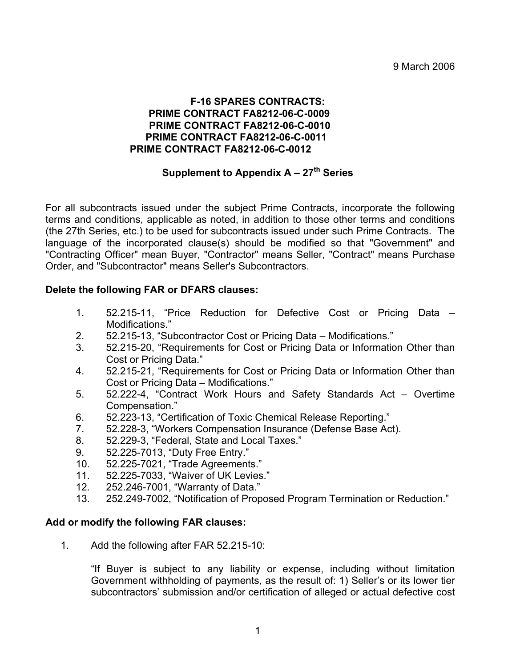### **F-16 SPARES CONTRACTS: PRIME CONTRACT FA8212-06-C-0009 PRIME CONTRACT FA8212-06-C-0010 PRIME CONTRACT FA8212-06-C-0011 PRIME CONTRACT FA8212-06-C-0012**

# **Supplement to Appendix A – 27<sup>th</sup> Series**

For all subcontracts issued under the subject Prime Contracts, incorporate the following terms and conditions, applicable as noted, in addition to those other terms and conditions (the 27th Series, etc.) to be used for subcontracts issued under such Prime Contracts. The language of the incorporated clause(s) should be modified so that "Government" and "Contracting Officer" mean Buyer, "Contractor" means Seller, "Contract" means Purchase Order, and "Subcontractor" means Seller's Subcontractors.

## **Delete the following FAR or DFARS clauses:**

- 1. 52.215-11, "Price Reduction for Defective Cost or Pricing Data Modifications."
- 2. 52.215-13, "Subcontractor Cost or Pricing Data Modifications."
- 3. 52.215-20, "Requirements for Cost or Pricing Data or Information Other than Cost or Pricing Data."
- 4. 52.215-21, "Requirements for Cost or Pricing Data or Information Other than Cost or Pricing Data – Modifications."
- 5. 52.222-4, "Contract Work Hours and Safety Standards Act Overtime Compensation."
- 6. 52.223-13, "Certification of Toxic Chemical Release Reporting."
- 7. 52.228-3, "Workers Compensation Insurance (Defense Base Act).
- 8. 52.229-3, "Federal, State and Local Taxes."
- 9. 52.225-7013, "Duty Free Entry."
- 10. 52.225-7021, "Trade Agreements."
- 11. 52.225-7033, "Waiver of UK Levies."
- 12. 252.246-7001, "Warranty of Data."
- 13. 252.249-7002, "Notification of Proposed Program Termination or Reduction."

## **Add or modify the following FAR clauses:**

1. Add the following after FAR 52.215-10:

"If Buyer is subject to any liability or expense, including without limitation Government withholding of payments, as the result of: 1) Seller's or its lower tier subcontractors' submission and/or certification of alleged or actual defective cost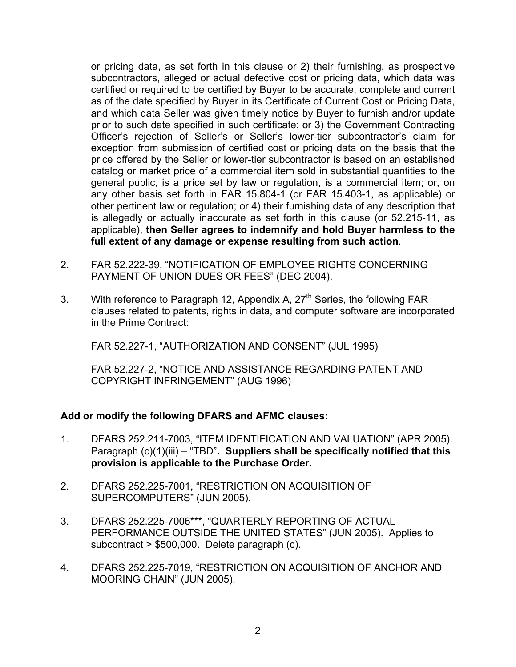or pricing data, as set forth in this clause or 2) their furnishing, as prospective subcontractors, alleged or actual defective cost or pricing data, which data was certified or required to be certified by Buyer to be accurate, complete and current as of the date specified by Buyer in its Certificate of Current Cost or Pricing Data, and which data Seller was given timely notice by Buyer to furnish and/or update prior to such date specified in such certificate; or 3) the Government Contracting Officer's rejection of Seller's or Seller's lower-tier subcontractor's claim for exception from submission of certified cost or pricing data on the basis that the price offered by the Seller or lower-tier subcontractor is based on an established catalog or market price of a commercial item sold in substantial quantities to the general public, is a price set by law or regulation, is a commercial item; or, on any other basis set forth in FAR 15.804-1 (or FAR 15.403-1, as applicable) or other pertinent law or regulation; or 4) their furnishing data of any description that is allegedly or actually inaccurate as set forth in this clause (or 52.215-11, as applicable), **then Seller agrees to indemnify and hold Buyer harmless to the full extent of any damage or expense resulting from such action**.

- 2. FAR 52.222-39, "NOTIFICATION OF EMPLOYEE RIGHTS CONCERNING PAYMENT OF UNION DUES OR FEES" (DEC 2004).
- 3. With reference to Paragraph 12, Appendix A,  $27<sup>th</sup>$  Series, the following FAR clauses related to patents, rights in data, and computer software are incorporated in the Prime Contract:

FAR 52.227-1, "AUTHORIZATION AND CONSENT" (JUL 1995)

FAR 52.227-2, "NOTICE AND ASSISTANCE REGARDING PATENT AND COPYRIGHT INFRINGEMENT" (AUG 1996)

## **Add or modify the following DFARS and AFMC clauses:**

- 1. DFARS 252.211-7003, "ITEM IDENTIFICATION AND VALUATION" (APR 2005). Paragraph (c)(1)(iii) – "TBD"**. Suppliers shall be specifically notified that this provision is applicable to the Purchase Order.**
- 2. DFARS 252.225-7001, "RESTRICTION ON ACQUISITION OF SUPERCOMPUTERS" (JUN 2005).
- 3. DFARS 252.225-7006\*\*\*, "QUARTERLY REPORTING OF ACTUAL PERFORMANCE OUTSIDE THE UNITED STATES" (JUN 2005). Applies to subcontract > \$500,000. Delete paragraph (c).
- 4. DFARS 252.225-7019, "RESTRICTION ON ACQUISITION OF ANCHOR AND MOORING CHAIN" (JUN 2005).